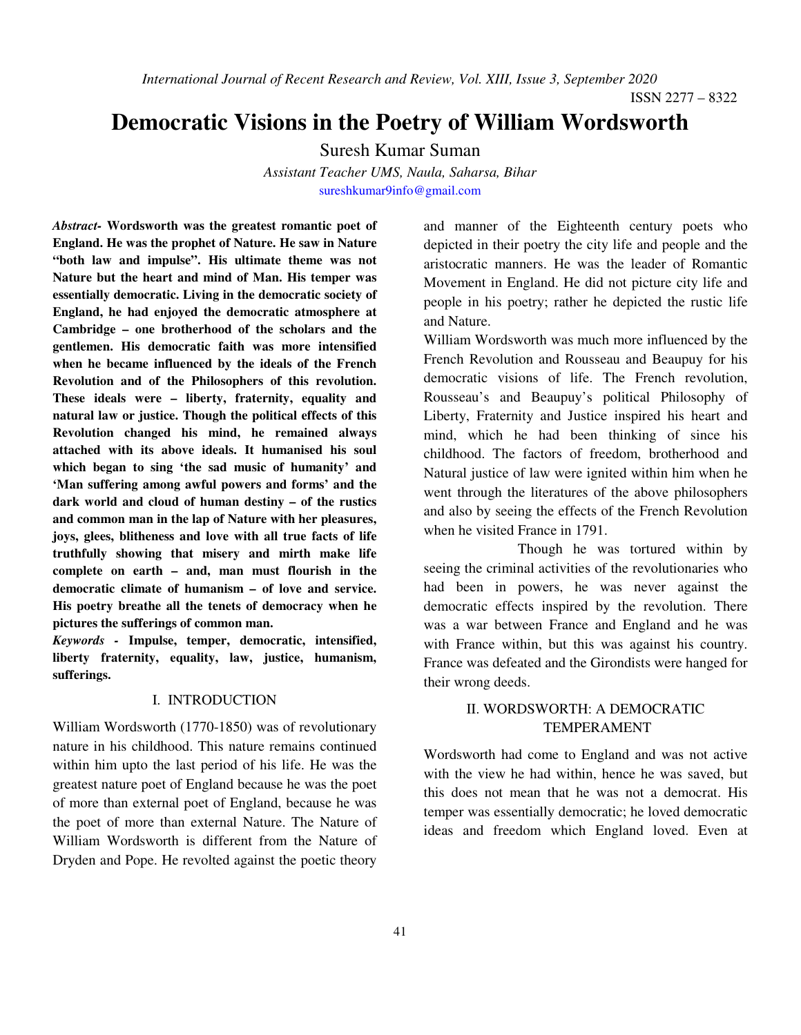*International Journal of Recent Research and Review, Vol. XIII, Issue 3, September 2020* 

ISSN 2277 – 8322

# **Democratic Visions in the Poetry of William Wordsworth**

Suresh Kumar Suman

*Assistant Teacher UMS, Naula, Saharsa, Bihar*  sureshkumar9info@gmail.com

*Abstract-* **Wordsworth was the greatest romantic poet of England. He was the prophet of Nature. He saw in Nature "both law and impulse". His ultimate theme was not Nature but the heart and mind of Man. His temper was essentially democratic. Living in the democratic society of England, he had enjoyed the democratic atmosphere at Cambridge – one brotherhood of the scholars and the gentlemen. His democratic faith was more intensified when he became influenced by the ideals of the French Revolution and of the Philosophers of this revolution. These ideals were – liberty, fraternity, equality and natural law or justice. Though the political effects of this Revolution changed his mind, he remained always attached with its above ideals. It humanised his soul which began to sing 'the sad music of humanity' and 'Man suffering among awful powers and forms' and the dark world and cloud of human destiny – of the rustics and common man in the lap of Nature with her pleasures, joys, glees, blitheness and love with all true facts of life truthfully showing that misery and mirth make life complete on earth – and, man must flourish in the democratic climate of humanism – of love and service. His poetry breathe all the tenets of democracy when he pictures the sufferings of common man.** 

*Keywords -* **Impulse, temper, democratic, intensified, liberty fraternity, equality, law, justice, humanism, sufferings.**

#### I. INTRODUCTION

William Wordsworth (1770-1850) was of revolutionary nature in his childhood. This nature remains continued within him upto the last period of his life. He was the greatest nature poet of England because he was the poet of more than external poet of England, because he was the poet of more than external Nature. The Nature of William Wordsworth is different from the Nature of Dryden and Pope. He revolted against the poetic theory

and manner of the Eighteenth century poets who depicted in their poetry the city life and people and the aristocratic manners. He was the leader of Romantic Movement in England. He did not picture city life and people in his poetry; rather he depicted the rustic life and Nature.

William Wordsworth was much more influenced by the French Revolution and Rousseau and Beaupuy for his democratic visions of life. The French revolution, Rousseau's and Beaupuy's political Philosophy of Liberty, Fraternity and Justice inspired his heart and mind, which he had been thinking of since his childhood. The factors of freedom, brotherhood and Natural justice of law were ignited within him when he went through the literatures of the above philosophers and also by seeing the effects of the French Revolution when he visited France in 1791.

 Though he was tortured within by seeing the criminal activities of the revolutionaries who had been in powers, he was never against the democratic effects inspired by the revolution. There was a war between France and England and he was with France within, but this was against his country. France was defeated and the Girondists were hanged for their wrong deeds.

## II. WORDSWORTH: A DEMOCRATIC TEMPERAMENT

Wordsworth had come to England and was not active with the view he had within, hence he was saved, but this does not mean that he was not a democrat. His temper was essentially democratic; he loved democratic ideas and freedom which England loved. Even at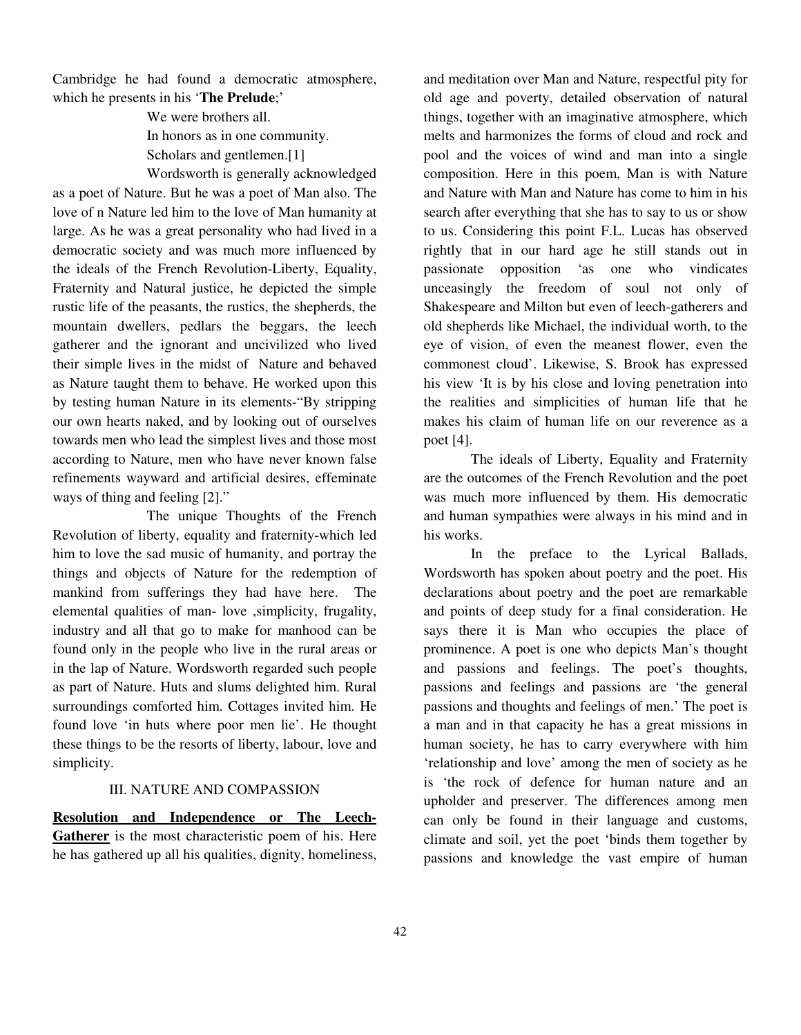Cambridge he had found a democratic atmosphere, which he presents in his '**The Prelude**;'

> We were brothers all. In honors as in one community. Scholars and gentlemen.<sup>[1]</sup> Wordsworth is generally acknowledged

as a poet of Nature. But he was a poet of Man also. The love of n Nature led him to the love of Man humanity at large. As he was a great personality who had lived in a democratic society and was much more influenced by the ideals of the French Revolution-Liberty, Equality, Fraternity and Natural justice, he depicted the simple rustic life of the peasants, the rustics, the shepherds, the mountain dwellers, pedlars the beggars, the leech gatherer and the ignorant and uncivilized who lived their simple lives in the midst of Nature and behaved as Nature taught them to behave. He worked upon this by testing human Nature in its elements-"By stripping our own hearts naked, and by looking out of ourselves towards men who lead the simplest lives and those most according to Nature, men who have never known false refinements wayward and artificial desires, effeminate ways of thing and feeling [2]."

 The unique Thoughts of the French Revolution of liberty, equality and fraternity-which led him to love the sad music of humanity, and portray the things and objects of Nature for the redemption of mankind from sufferings they had have here. The elemental qualities of man- love ,simplicity, frugality, industry and all that go to make for manhood can be found only in the people who live in the rural areas or in the lap of Nature. Wordsworth regarded such people as part of Nature. Huts and slums delighted him. Rural surroundings comforted him. Cottages invited him. He found love 'in huts where poor men lie'. He thought these things to be the resorts of liberty, labour, love and simplicity.

#### III. NATURE AND COMPASSION

**Resolution and Independence or The Leech-Gatherer** is the most characteristic poem of his. Here he has gathered up all his qualities, dignity, homeliness,

and meditation over Man and Nature, respectful pity for old age and poverty, detailed observation of natural things, together with an imaginative atmosphere, which melts and harmonizes the forms of cloud and rock and pool and the voices of wind and man into a single composition. Here in this poem, Man is with Nature and Nature with Man and Nature has come to him in his search after everything that she has to say to us or show to us. Considering this point F.L. Lucas has observed rightly that in our hard age he still stands out in passionate opposition 'as one who vindicates unceasingly the freedom of soul not only of Shakespeare and Milton but even of leech-gatherers and old shepherds like Michael, the individual worth, to the eye of vision, of even the meanest flower, even the commonest cloud'. Likewise, S. Brook has expressed his view 'It is by his close and loving penetration into the realities and simplicities of human life that he makes his claim of human life on our reverence as a poet [4].

 The ideals of Liberty, Equality and Fraternity are the outcomes of the French Revolution and the poet was much more influenced by them. His democratic and human sympathies were always in his mind and in his works.

 In the preface to the Lyrical Ballads, Wordsworth has spoken about poetry and the poet. His declarations about poetry and the poet are remarkable and points of deep study for a final consideration. He says there it is Man who occupies the place of prominence. A poet is one who depicts Man's thought and passions and feelings. The poet's thoughts, passions and feelings and passions are 'the general passions and thoughts and feelings of men.' The poet is a man and in that capacity he has a great missions in human society, he has to carry everywhere with him 'relationship and love' among the men of society as he is 'the rock of defence for human nature and an upholder and preserver. The differences among men can only be found in their language and customs, climate and soil, yet the poet 'binds them together by passions and knowledge the vast empire of human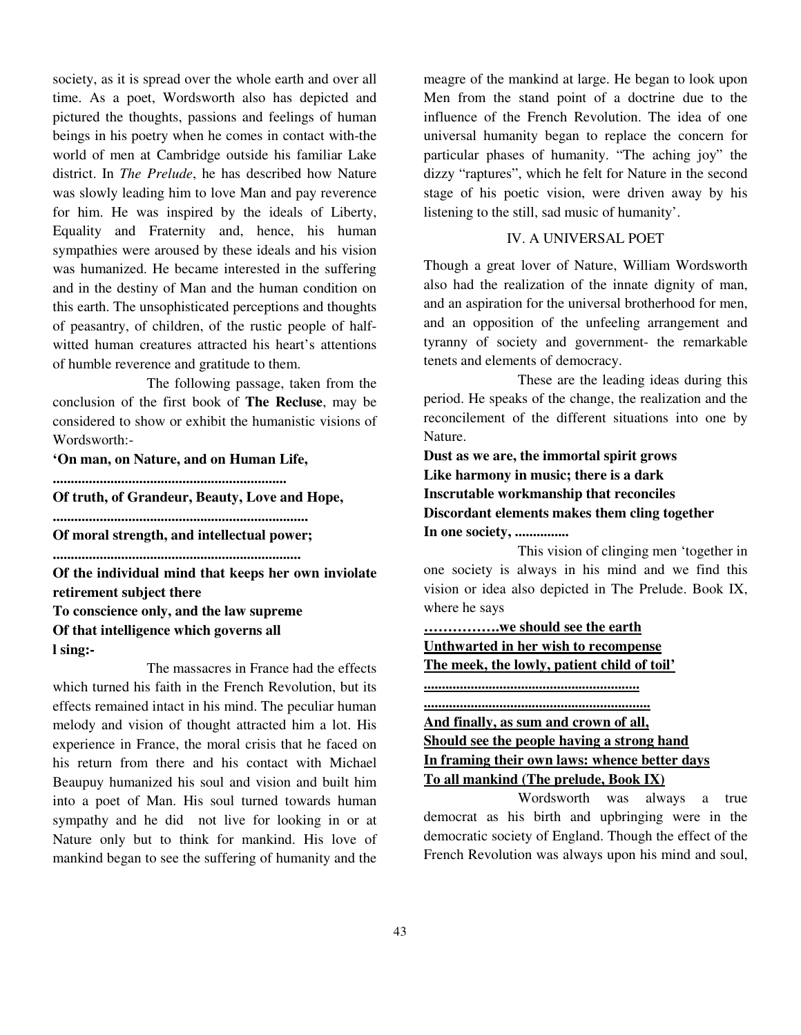society, as it is spread over the whole earth and over all time. As a poet, Wordsworth also has depicted and pictured the thoughts, passions and feelings of human beings in his poetry when he comes in contact with-the world of men at Cambridge outside his familiar Lake district. In *The Prelude*, he has described how Nature was slowly leading him to love Man and pay reverence for him. He was inspired by the ideals of Liberty, Equality and Fraternity and, hence, his human sympathies were aroused by these ideals and his vision was humanized. He became interested in the suffering and in the destiny of Man and the human condition on this earth. The unsophisticated perceptions and thoughts of peasantry, of children, of the rustic people of halfwitted human creatures attracted his heart's attentions of humble reverence and gratitude to them.

 The following passage, taken from the conclusion of the first book of **The Recluse**, may be considered to show or exhibit the humanistic visions of Wordsworth:-

**'On man, on Nature, and on Human Life,** 

**.................................................................** 

**Of truth, of Grandeur, Beauty, Love and Hope,** 

**.......................................................................** 

**Of moral strength, and intellectual power;** 

**.....................................................................** 

**Of the individual mind that keeps her own inviolate retirement subject there** 

**To conscience only, and the law supreme Of that intelligence which governs all l sing:-** 

The massacres in France had the effects which turned his faith in the French Revolution, but its effects remained intact in his mind. The peculiar human melody and vision of thought attracted him a lot. His experience in France, the moral crisis that he faced on his return from there and his contact with Michael Beaupuy humanized his soul and vision and built him into a poet of Man. His soul turned towards human sympathy and he did not live for looking in or at Nature only but to think for mankind. His love of mankind began to see the suffering of humanity and the

meagre of the mankind at large. He began to look upon Men from the stand point of a doctrine due to the influence of the French Revolution. The idea of one universal humanity began to replace the concern for particular phases of humanity. "The aching joy" the dizzy "raptures", which he felt for Nature in the second stage of his poetic vision, were driven away by his listening to the still, sad music of humanity'.

### IV. A UNIVERSAL POET

Though a great lover of Nature, William Wordsworth also had the realization of the innate dignity of man, and an aspiration for the universal brotherhood for men, and an opposition of the unfeeling arrangement and tyranny of society and government- the remarkable tenets and elements of democracy.

 These are the leading ideas during this period. He speaks of the change, the realization and the reconcilement of the different situations into one by Nature.

**Dust as we are, the immortal spirit grows Like harmony in music; there is a dark Inscrutable workmanship that reconciles Discordant elements makes them cling together In one society, ...............** 

This vision of clinging men 'together in one society is always in his mind and we find this vision or idea also depicted in The Prelude. Book IX, where he says

**…………….we should see the earth Unthwarted in her wish to recompense The meek, the lowly, patient child of toil'**

**............................................................**

**............................................................... And finally, as sum and crown of all, Should see the people having a strong hand In framing their own laws: whence better days To all mankind (The prelude, Book IX)**

 Wordsworth was always a true democrat as his birth and upbringing were in the democratic society of England. Though the effect of the French Revolution was always upon his mind and soul,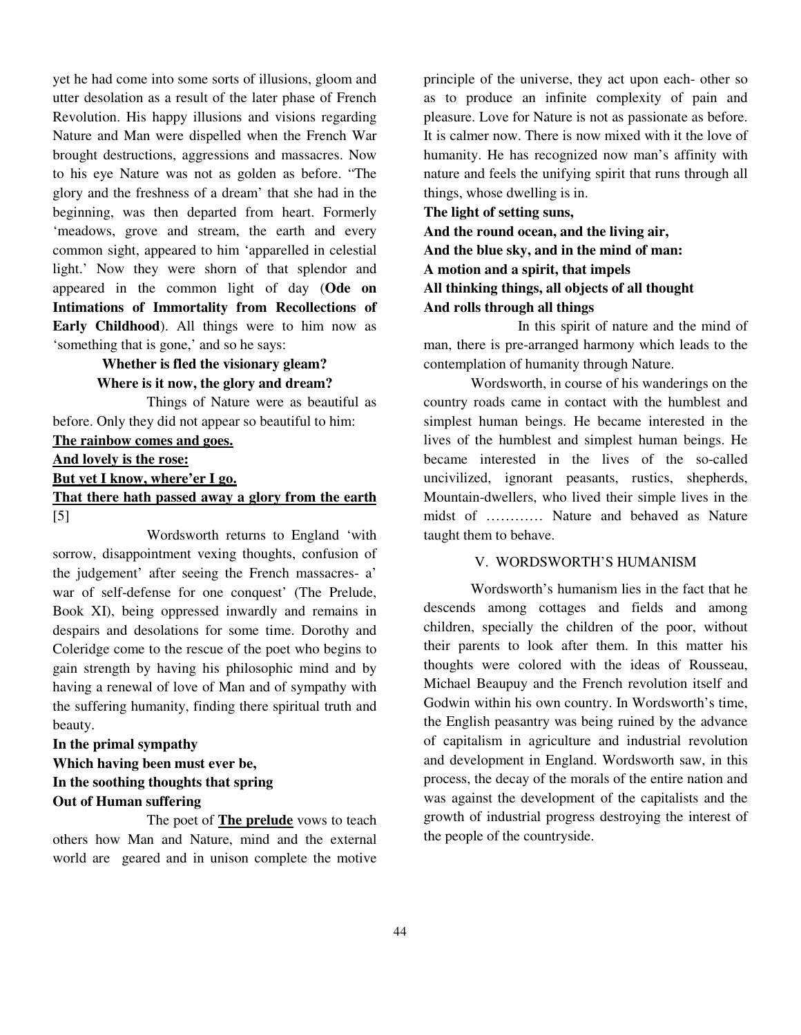yet he had come into some sorts of illusions, gloom and utter desolation as a result of the later phase of French Revolution. His happy illusions and visions regarding Nature and Man were dispelled when the French War brought destructions, aggressions and massacres. Now to his eye Nature was not as golden as before. "The glory and the freshness of a dream' that she had in the beginning, was then departed from heart. Formerly 'meadows, grove and stream, the earth and every common sight, appeared to him 'apparelled in celestial light.' Now they were shorn of that splendor and appeared in the common light of day (**Ode on Intimations of Immortality from Recollections of Early Childhood**). All things were to him now as 'something that is gone,' and so he says:

# **Whether is fled the visionary gleam? Where is it now, the glory and dream?**

 Things of Nature were as beautiful as before. Only they did not appear so beautiful to him:

**The rainbow comes and goes.** 

#### **And lovely is the rose:**

**But yet I know, where'er I go.**

## **That there hath passed away a glory from the earth**  [5]

Wordsworth returns to England 'with sorrow, disappointment vexing thoughts, confusion of the judgement' after seeing the French massacres- a' war of self-defense for one conquest' (The Prelude, Book XI), being oppressed inwardly and remains in despairs and desolations for some time. Dorothy and Coleridge come to the rescue of the poet who begins to gain strength by having his philosophic mind and by having a renewal of love of Man and of sympathy with the suffering humanity, finding there spiritual truth and beauty.

# **In the primal sympathy Which having been must ever be, In the soothing thoughts that spring Out of Human suffering**

The poet of **The prelude** vows to teach others how Man and Nature, mind and the external world are geared and in unison complete the motive principle of the universe, they act upon each- other so as to produce an infinite complexity of pain and pleasure. Love for Nature is not as passionate as before. It is calmer now. There is now mixed with it the love of humanity. He has recognized now man's affinity with nature and feels the unifying spirit that runs through all things, whose dwelling is in.

#### **The light of setting suns,**

**And the round ocean, and the living air, And the blue sky, and in the mind of man: A motion and a spirit, that impels All thinking things, all objects of all thought And rolls through all things** 

 In this spirit of nature and the mind of man, there is pre-arranged harmony which leads to the contemplation of humanity through Nature.

 Wordsworth, in course of his wanderings on the country roads came in contact with the humblest and simplest human beings. He became interested in the lives of the humblest and simplest human beings. He became interested in the lives of the so-called uncivilized, ignorant peasants, rustics, shepherds, Mountain-dwellers, who lived their simple lives in the midst of ………… Nature and behaved as Nature taught them to behave.

### V. WORDSWORTH'S HUMANISM

 Wordsworth's humanism lies in the fact that he descends among cottages and fields and among children, specially the children of the poor, without their parents to look after them. In this matter his thoughts were colored with the ideas of Rousseau, Michael Beaupuy and the French revolution itself and Godwin within his own country. In Wordsworth's time, the English peasantry was being ruined by the advance of capitalism in agriculture and industrial revolution and development in England. Wordsworth saw, in this process, the decay of the morals of the entire nation and was against the development of the capitalists and the growth of industrial progress destroying the interest of the people of the countryside.